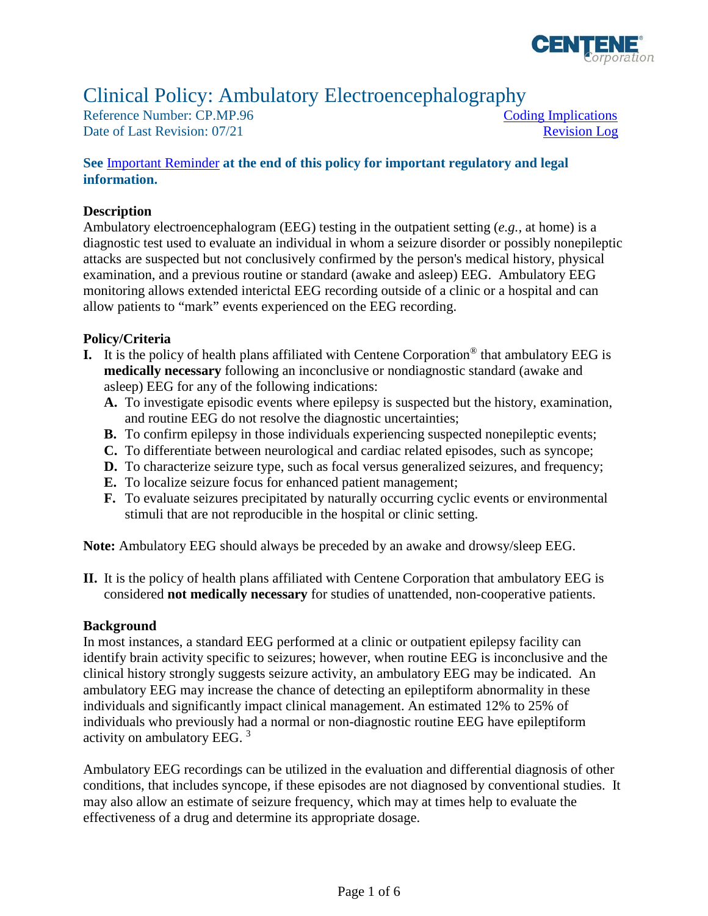

# Clinical Policy: Ambulatory Electroencephalography

Reference Number: CP.MP.96 Coding Implications Date of Last Revision: 07/21 Revision Log

## **See** [Important Reminder](#page-3-0) **at the end of this policy for important regulatory and legal information.**

#### **Description**

 Ambulatory electroencephalogram (EEG) testing in the outpatient setting (*e.g.,* at home) is a examination, and a previous routine or standard (awake and asleep) EEG. Ambulatory EEG diagnostic test used to evaluate an individual in whom a seizure disorder or possibly nonepileptic attacks are suspected but not conclusively confirmed by the person's medical history, physical monitoring allows extended interictal EEG recording outside of a clinic or a hospital and can allow patients to "mark" events experienced on the EEG recording.

#### **Policy/Criteria**

- **I.** It is the policy of health plans affiliated with Centene Corporation® that ambulatory EEG is **medically necessary** following an inconclusive or nondiagnostic standard (awake and asleep) EEG for any of the following indications:
	- **A.** To investigate episodic events where epilepsy is suspected but the history, examination, and routine EEG do not resolve the diagnostic uncertainties;
	- **B.** To confirm epilepsy in those individuals experiencing suspected nonepileptic events;
	- **C.** To differentiate between neurological and cardiac related episodes, such as syncope;
	- **D.** To characterize seizure type, such as focal versus generalized seizures, and frequency;
	- **E.** To localize seizure focus for enhanced patient management;
	- **F.** To evaluate seizures precipitated by naturally occurring cyclic events or environmental stimuli that are not reproducible in the hospital or clinic setting.

**Note:** Ambulatory EEG should always be preceded by an awake and drowsy/sleep EEG.

**II.** It is the policy of health plans affiliated with Centene Corporation that ambulatory EEG is considered **not medically necessary** for studies of unattended, non-cooperative patients.

#### **Background**

In most instances, a standard EEG performed at a clinic or outpatient epilepsy facility can identify brain activity specific to seizures; however, when routine EEG is inconclusive and the clinical history strongly suggests seizure activity, an ambulatory EEG may be indicated. An ambulatory EEG may increase the chance of detecting an epileptiform abnormality in these individuals and significantly impact clinical management. An estimated 12% to 25% of individuals who previously had a normal or non-diagnostic routine EEG have epileptiform activity on ambulatory EEG. <sup>3</sup>

Ambulatory EEG recordings can be utilized in the evaluation and differential diagnosis of other conditions, that includes syncope, if these episodes are not diagnosed by conventional studies. It may also allow an estimate of seizure frequency, which may at times help to evaluate the effectiveness of a drug and determine its appropriate dosage.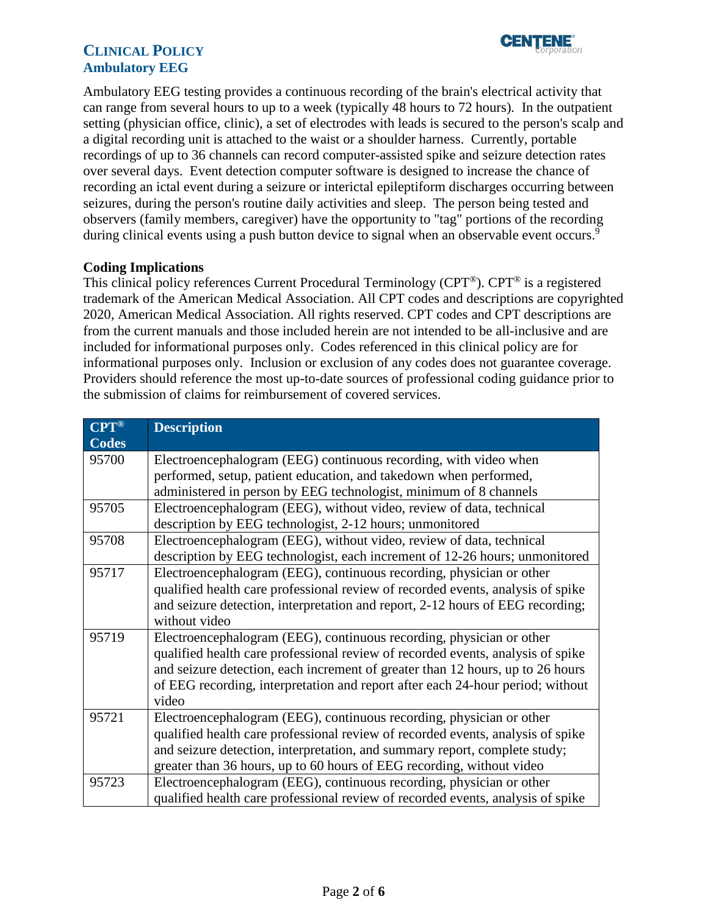# **CLINICAL POLICY Ambulatory EEG**



Ambulatory EEG testing provides a continuous recording of the brain's electrical activity that can range from several hours to up to a week (typically 48 hours to 72 hours). In the outpatient setting (physician office, clinic), a set of electrodes with leads is secured to the person's scalp and a digital recording unit is attached to the waist or a shoulder harness. Currently, portable recordings of up to 36 channels can record computer-assisted spike and seizure detection rates over several days. Event detection computer software is designed to increase the chance of recording an ictal event during a seizure or interictal epileptiform discharges occurring between seizures, during the person's routine daily activities and sleep. The person being tested and observers (family members, caregiver) have the opportunity to "tag" portions of the recording during clinical events using a push button device to signal when an observable event occurs.<sup>9</sup>

## <span id="page-1-0"></span>**Coding Implications**

This clinical policy references Current Procedural Terminology (CPT®). CPT® is a registered trademark of the American Medical Association. All CPT codes and descriptions are copyrighted 2020, American Medical Association. All rights reserved. CPT codes and CPT descriptions are from the current manuals and those included herein are not intended to be all-inclusive and are included for informational purposes only. Codes referenced in this clinical policy are for informational purposes only. Inclusion or exclusion of any codes does not guarantee coverage. Providers should reference the most up-to-date sources of professional coding guidance prior to the submission of claims for reimbursement of covered services.

| $CPT^{\circledR}$ | <b>Description</b>                                                              |  |  |  |
|-------------------|---------------------------------------------------------------------------------|--|--|--|
| <b>Codes</b>      |                                                                                 |  |  |  |
| 95700             | Electroencephalogram (EEG) continuous recording, with video when                |  |  |  |
|                   | performed, setup, patient education, and takedown when performed,               |  |  |  |
|                   | administered in person by EEG technologist, minimum of 8 channels               |  |  |  |
| 95705             | Electroencephalogram (EEG), without video, review of data, technical            |  |  |  |
|                   | description by EEG technologist, 2-12 hours; unmonitored                        |  |  |  |
| 95708             | Electroencephalogram (EEG), without video, review of data, technical            |  |  |  |
|                   | description by EEG technologist, each increment of 12-26 hours; unmonitored     |  |  |  |
| 95717             | Electroencephalogram (EEG), continuous recording, physician or other            |  |  |  |
|                   | qualified health care professional review of recorded events, analysis of spike |  |  |  |
|                   | and seizure detection, interpretation and report, 2-12 hours of EEG recording;  |  |  |  |
|                   | without video                                                                   |  |  |  |
| 95719             | Electroencephalogram (EEG), continuous recording, physician or other            |  |  |  |
|                   | qualified health care professional review of recorded events, analysis of spike |  |  |  |
|                   | and seizure detection, each increment of greater than 12 hours, up to 26 hours  |  |  |  |
|                   | of EEG recording, interpretation and report after each 24-hour period; without  |  |  |  |
|                   | video                                                                           |  |  |  |
| 95721             | Electroencephalogram (EEG), continuous recording, physician or other            |  |  |  |
|                   | qualified health care professional review of recorded events, analysis of spike |  |  |  |
|                   | and seizure detection, interpretation, and summary report, complete study;      |  |  |  |
|                   | greater than 36 hours, up to 60 hours of EEG recording, without video           |  |  |  |
| 95723             | Electroencephalogram (EEG), continuous recording, physician or other            |  |  |  |
|                   | qualified health care professional review of recorded events, analysis of spike |  |  |  |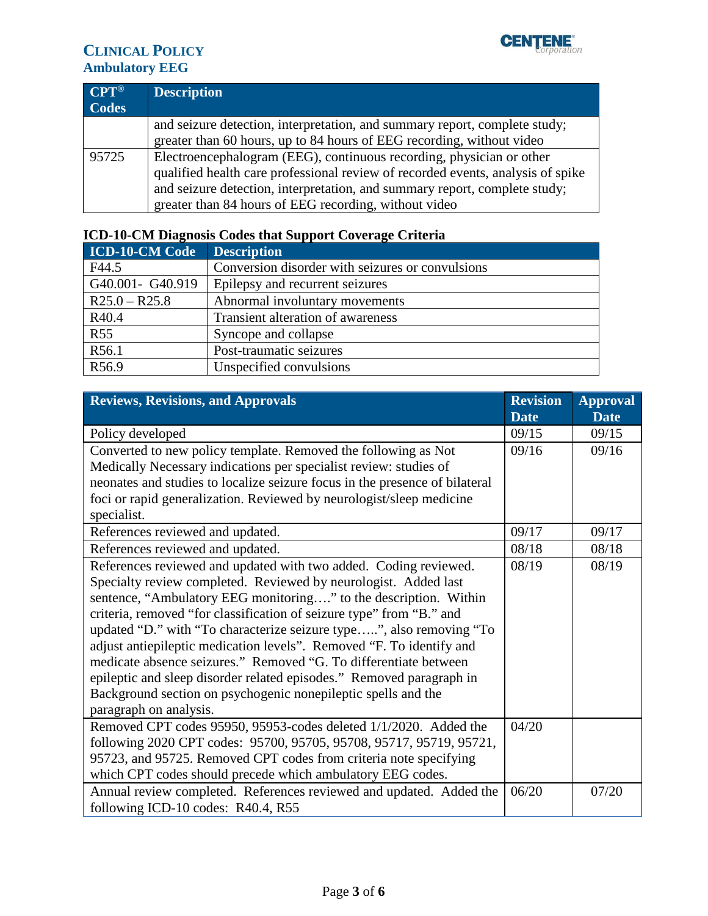

## **CLINICAL POLICY Ambulatory EEG**

| $CPT^{\circledR}$ | <b>Description</b>                                                              |
|-------------------|---------------------------------------------------------------------------------|
| <b>Codes</b>      |                                                                                 |
|                   | and seizure detection, interpretation, and summary report, complete study;      |
|                   | greater than 60 hours, up to 84 hours of EEG recording, without video           |
| 95725             | Electroencephalogram (EEG), continuous recording, physician or other            |
|                   | qualified health care professional review of recorded events, analysis of spike |
|                   | and seizure detection, interpretation, and summary report, complete study;      |
|                   | greater than 84 hours of EEG recording, without video                           |

| <b>ICD-10-CM Code</b> | <b>Description</b>                               |
|-----------------------|--------------------------------------------------|
| F44.5                 | Conversion disorder with seizures or convulsions |
| G40.001- G40.919      | Epilepsy and recurrent seizures                  |
| $R25.0 - R25.8$       | Abnormal involuntary movements                   |
| R40.4                 | Transient alteration of awareness                |
| <b>R55</b>            | Syncope and collapse                             |
| R56.1                 | Post-traumatic seizures                          |
| R56.9                 | Unspecified convulsions                          |

## **ICD-10-CM Diagnosis Codes that Support Coverage Criteria**

<span id="page-2-0"></span>

| <b>Reviews, Revisions, and Approvals</b>                                    | <b>Revision</b> | <b>Approval</b> |
|-----------------------------------------------------------------------------|-----------------|-----------------|
|                                                                             | <b>Date</b>     | <b>Date</b>     |
| Policy developed                                                            | 09/15           | 09/15           |
| Converted to new policy template. Removed the following as Not              |                 | 09/16           |
| Medically Necessary indications per specialist review: studies of           |                 |                 |
| neonates and studies to localize seizure focus in the presence of bilateral |                 |                 |
| foci or rapid generalization. Reviewed by neurologist/sleep medicine        |                 |                 |
| specialist.                                                                 |                 |                 |
| References reviewed and updated.                                            | 09/17           | 09/17           |
| References reviewed and updated.                                            | 08/18           | 08/18           |
| References reviewed and updated with two added. Coding reviewed.            | 08/19           | 08/19           |
| Specialty review completed. Reviewed by neurologist. Added last             |                 |                 |
| sentence, "Ambulatory EEG monitoring" to the description. Within            |                 |                 |
| criteria, removed "for classification of seizure type" from "B." and        |                 |                 |
| updated "D." with "To characterize seizure type", also removing "To         |                 |                 |
| adjust antiepileptic medication levels". Removed "F. To identify and        |                 |                 |
| medicate absence seizures." Removed "G. To differentiate between            |                 |                 |
| epileptic and sleep disorder related episodes." Removed paragraph in        |                 |                 |
| Background section on psychogenic nonepileptic spells and the               |                 |                 |
| paragraph on analysis.                                                      |                 |                 |
| Removed CPT codes 95950, 95953-codes deleted 1/1/2020. Added the            | 04/20           |                 |
| following 2020 CPT codes: 95700, 95705, 95708, 95717, 95719, 95721,         |                 |                 |
| 95723, and 95725. Removed CPT codes from criteria note specifying           |                 |                 |
| which CPT codes should precede which ambulatory EEG codes.                  | 06/20           |                 |
| Annual review completed. References reviewed and updated. Added the         |                 | 07/20           |
| following ICD-10 codes: R40.4, R55                                          |                 |                 |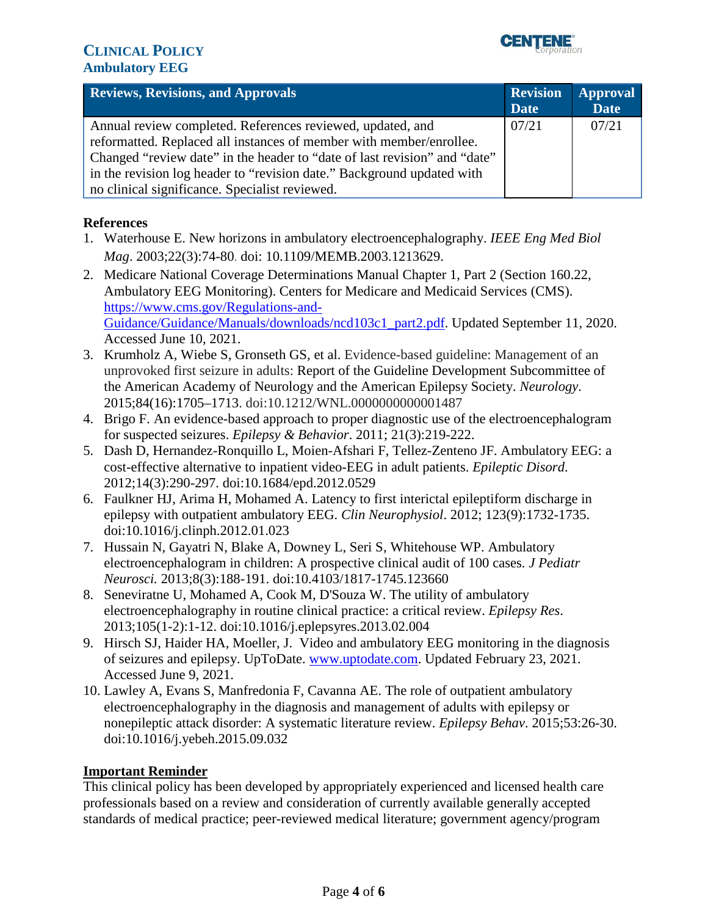

| <b>Reviews, Revisions, and Approvals</b>                                                                                                                                                                                                                                                                                                   | <b>Revision</b><br><b>Date</b> | <b>Approval</b><br><b>Date</b> |
|--------------------------------------------------------------------------------------------------------------------------------------------------------------------------------------------------------------------------------------------------------------------------------------------------------------------------------------------|--------------------------------|--------------------------------|
| Annual review completed. References reviewed, updated, and<br>reformatted. Replaced all instances of member with member/enrollee.<br>Changed "review date" in the header to "date of last revision" and "date"<br>in the revision log header to "revision date." Background updated with<br>no clinical significance. Specialist reviewed. | 07/21                          | 07/21                          |

## **References**

- 1. Waterhouse E. New horizons in ambulatory electroencephalography. *IEEE Eng Med Biol Mag*. 2003;22(3):74-80. doi: 10.1109/MEMB.2003.1213629.
- 2. Medicare National Coverage Determinations Manual Chapter 1, Part 2 (Section 160.22, Ambulatory EEG Monitoring). Centers for Medicare and Medicaid Services (CMS). [https://www.cms.gov/Regulations-and-](https://www.cms.gov/Regulations-and-Guidance/Guidance/Manuals/downloads/ncd103c1_part2.pdf)[Guidance/Guidance/Manuals/downloads/ncd103c1\\_part2.pdf.](https://www.cms.gov/Regulations-and-Guidance/Guidance/Manuals/downloads/ncd103c1_part2.pdf) Updated September 11, 2020. Accessed June 10, 2021.
- 3. Krumholz A, Wiebe S, Gronseth GS, et al. Evidence-based guideline: Management of an unprovoked first seizure in adults: Report of the Guideline Development Subcommittee of the American Academy of Neurology and the American Epilepsy Society. *Neurology*. 2015;84(16):1705–1713. doi:10.1212/WNL.0000000000001487
- 4. Brigo F. An evidence-based approach to proper diagnostic use of the electroencephalogram for suspected seizures. *Epilepsy & Behavior*. 2011; 21(3):219-222.
- 5. Dash D, Hernandez-Ronquillo L, Moien-Afshari F, Tellez-Zenteno JF. Ambulatory EEG: a cost-effective alternative to inpatient video-EEG in adult patients. *Epileptic Disord*. 2012;14(3):290-297. doi:10.1684/epd.2012.0529
- 6. Faulkner HJ, Arima H, Mohamed A. Latency to first interictal epileptiform discharge in epilepsy with outpatient ambulatory EEG. *Clin Neurophysiol*. 2012; 123(9):1732-1735. doi:10.1016/j.clinph.2012.01.023
- 7. Hussain N, Gayatri N, Blake A, Downey L, Seri S, Whitehouse WP. Ambulatory electroencephalogram in children: A prospective clinical audit of 100 cases. *J Pediatr Neurosci.* 2013;8(3):188-191. doi:10.4103/1817-1745.123660
- 8. Seneviratne U, Mohamed A, Cook M, D'Souza W. The utility of ambulatory electroencephalography in routine clinical practice: a critical review. *Epilepsy Res*. 2013;105(1-2):1-12. doi:10.1016/j.eplepsyres.2013.02.004
- 9. Hirsch SJ, Haider HA, Moeller, J. Video and ambulatory EEG monitoring in the diagnosis of seizures and epilepsy. UpToDate. [www.uptodate.com.](http://www.uptodate.com/) Updated February 23, 2021. Accessed June 9, 2021.
- 10. Lawley A, Evans S, Manfredonia F, Cavanna AE. The role of outpatient ambulatory electroencephalography in the diagnosis and management of adults with epilepsy or nonepileptic attack disorder: A systematic literature review. *Epilepsy Behav*. 2015;53:26-30. doi:10.1016/j.yebeh.2015.09.032

## <span id="page-3-0"></span>**Important Reminder**

 This clinical policy has been developed by appropriately experienced and licensed health care professionals based on a review and consideration of currently available generally accepted standards of medical practice; peer-reviewed medical literature; government agency/program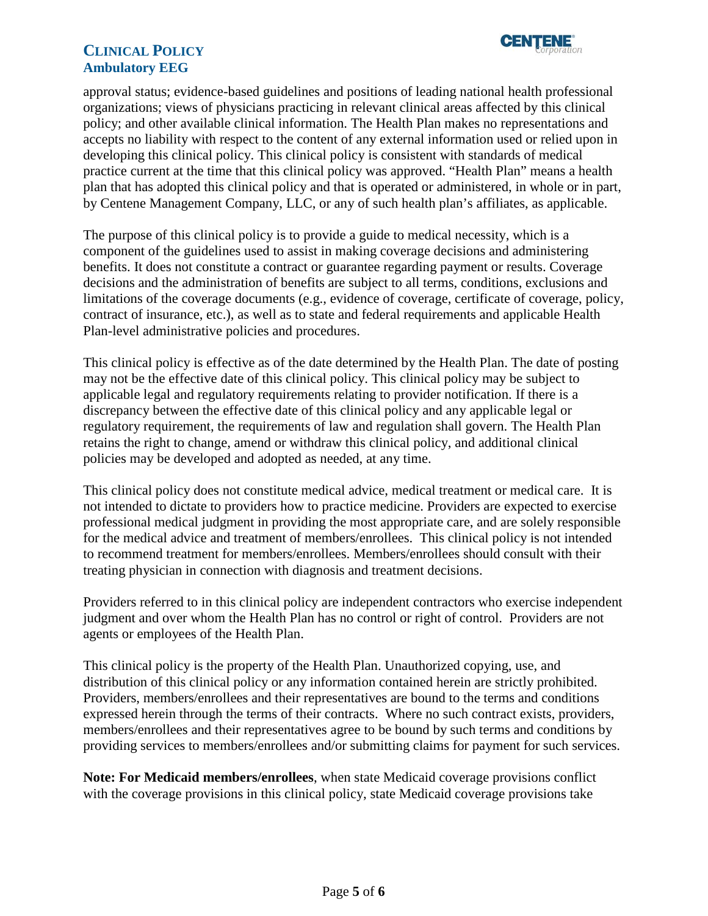

## **CLINICAL POLICY CENTAIE" <sup>C</sup>** *--l':orix,rat,on* **LINICAL POLICY Ambulatory EEG**

 by Centene Management Company, LLC, or any of such health plan's affiliates, as applicable. approval status; evidence-based guidelines and positions of leading national health professional organizations; views of physicians practicing in relevant clinical areas affected by this clinical policy; and other available clinical information. The Health Plan makes no representations and accepts no liability with respect to the content of any external information used or relied upon in developing this clinical policy. This clinical policy is consistent with standards of medical practice current at the time that this clinical policy was approved. "Health Plan" means a health plan that has adopted this clinical policy and that is operated or administered, in whole or in part,

 The purpose of this clinical policy is to provide a guide to medical necessity, which is a component of the guidelines used to assist in making coverage decisions and administering benefits. It does not constitute a contract or guarantee regarding payment or results. Coverage decisions and the administration of benefits are subject to all terms, conditions, exclusions and limitations of the coverage documents (e.g., evidence of coverage, certificate of coverage, policy, contract of insurance, etc.), as well as to state and federal requirements and applicable Health Plan-level administrative policies and procedures.

 applicable legal and regulatory requirements relating to provider notification. If there is a This clinical policy is effective as of the date determined by the Health Plan. The date of posting may not be the effective date of this clinical policy. This clinical policy may be subject to discrepancy between the effective date of this clinical policy and any applicable legal or regulatory requirement, the requirements of law and regulation shall govern. The Health Plan retains the right to change, amend or withdraw this clinical policy, and additional clinical policies may be developed and adopted as needed, at any time.

 This clinical policy does not constitute medical advice, medical treatment or medical care. It is not intended to dictate to providers how to practice medicine. Providers are expected to exercise professional medical judgment in providing the most appropriate care, and are solely responsible for the medical advice and treatment of members/enrollees. This clinical policy is not intended to recommend treatment for members/enrollees. Members/enrollees should consult with their treating physician in connection with diagnosis and treatment decisions.

Providers referred to in this clinical policy are independent contractors who exercise independent judgment and over whom the Health Plan has no control or right of control. Providers are not agents or employees of the Health Plan.

This clinical policy is the property of the Health Plan. Unauthorized copying, use, and distribution of this clinical policy or any information contained herein are strictly prohibited. Providers, members/enrollees and their representatives are bound to the terms and conditions expressed herein through the terms of their contracts. Where no such contract exists, providers, members/enrollees and their representatives agree to be bound by such terms and conditions by providing services to members/enrollees and/or submitting claims for payment for such services.

**Note: For Medicaid members/enrollees**, when state Medicaid coverage provisions conflict with the coverage provisions in this clinical policy, state Medicaid coverage provisions take